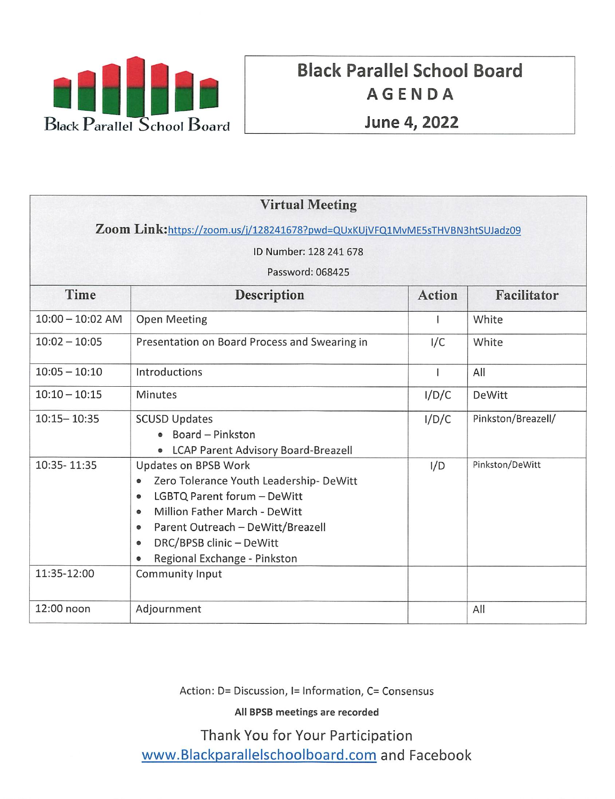

# Black Parallel School Board AGENDA June 4; 2022

| <b>Virtual Meeting</b>                                                     |                                                                                                                                                                                                                                                                                                             |               |                    |
|----------------------------------------------------------------------------|-------------------------------------------------------------------------------------------------------------------------------------------------------------------------------------------------------------------------------------------------------------------------------------------------------------|---------------|--------------------|
| Zoom Link:https://zoom.us/j/128241678?pwd=QUxKUjVFQ1MvME5sTHVBN3htSUJadz09 |                                                                                                                                                                                                                                                                                                             |               |                    |
| ID Number: 128 241 678                                                     |                                                                                                                                                                                                                                                                                                             |               |                    |
| Password: 068425                                                           |                                                                                                                                                                                                                                                                                                             |               |                    |
| Time                                                                       | <b>Description</b>                                                                                                                                                                                                                                                                                          | <b>Action</b> | Facilitator        |
| $10:00 - 10:02$ AM                                                         | <b>Open Meeting</b>                                                                                                                                                                                                                                                                                         |               | White              |
| $10:02 - 10:05$                                                            | Presentation on Board Process and Swearing in                                                                                                                                                                                                                                                               | I/C           | White              |
| $10:05 - 10:10$                                                            | Introductions                                                                                                                                                                                                                                                                                               |               | All                |
| $10:10 - 10:15$                                                            | Minutes                                                                                                                                                                                                                                                                                                     | I/D/C         | DeWitt             |
| $10:15 - 10:35$                                                            | <b>SCUSD Updates</b><br>Board - Pinkston<br>• LCAP Parent Advisory Board-Breazell                                                                                                                                                                                                                           | I/D/C         | Pinkston/Breazell/ |
| 10:35-11:35<br>11:35-12:00                                                 | Updates on BPSB Work<br>Zero Tolerance Youth Leadership-DeWitt<br>$\bullet$<br>LGBTQ Parent forum - DeWitt<br>$\bullet$<br>Million Father March - DeWitt<br>$\bullet$<br>Parent Outreach - DeWitt/Breazell<br>$\bullet$<br>DRC/BPSB clinic - DeWitt<br>0<br>Regional Exchange - Pinkston<br>Community Input | I/D           | Pinkston/DeWitt    |
| 12:00 noon                                                                 | Adjournment                                                                                                                                                                                                                                                                                                 |               | All                |

Action: D= Discussion, I= Information, C= Consensus

All BPSB meetings are recorded

Thank You for Your Participation www.Blackparallelschoolboard.com and Facebook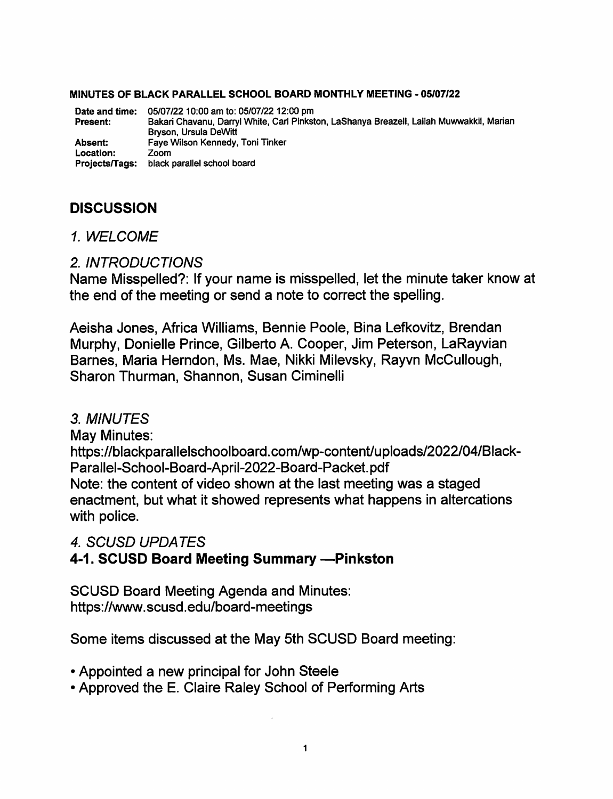### MINUTES OF BLACK PARALLEL SCHOOL BOARD MONTHLY MEETING - 05/07/22

05/07/22 10:00 am to: 05/07/22 12:00 pm Date and time: Bakari Chavanu, Darryl White. Carl Pinkston, LaShanya Breazell, Lailah Muwwakkil, Marian Bryson, Ursula DeWitt Faye Wilson Kennedy, Toni Tinker Zoom Projects/Tags: black parallel school board Present: Absent: Location:

## **DISCUSSION**

1 WELCOME

### 2. INTRODUCTIONS

Name Misspelled?: If your name is misspelled, let the minute taker know at the end of the meeting or send a note to correct the spelling.

Aeisha Jones. Africa Williams, Bennie Poole, Bina Lefkovitz, Brendan Murphy, Donieile Prince, Gilberto A. Cooper, Jim Peterson, LaRayvian Barnes, Maria Herndon, Ms. Mae, Nikki Milevsky, Rayvn McCullough, Sharon Thurman, Shannon, Susan Ciminelli

## 3. MINUTES

May Minutes: https://blackparallelschoolboard.com/wp-content/uploads/2022/04/Black-Parallel-School-Board-April-2022-Board-Packet.pdf Note: the content of video shown at the last meeting was a staged enactment, but what it showed represents what happens in altercations with police.

4. SCUSD UPDATES

## 4-1. SCUSD Board Meeting Summary -- Pinkston

SCUSD Board Meeting Agenda and Minutes: https://www.scusd.edu/board-meetings

Some items discussed at the May 5th SCUSD Board meeting:

- Appointed a new principal for John Steele
- Approved the E. Claire Raley School of Performing Arts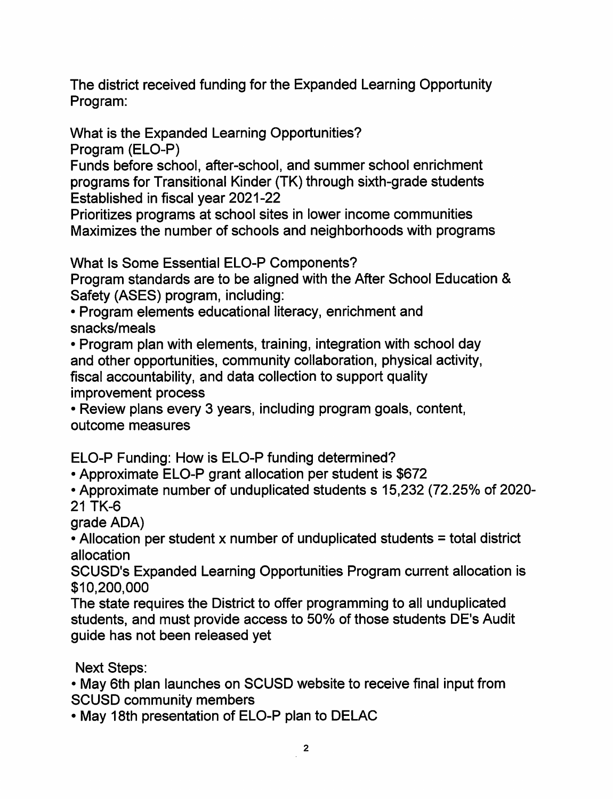The district received funding for the Expanded Learning Opportunity Program:

What is the Expanded Learning Opportunities?

Program (ELO-P)

Funds before school, after-school, and summer school enrichment programs for Transitional Kinder (TK) through sixth-grade students Established in fiscal year 2021-22

Prioritizes programs at school sites in lower income communities Maximizes the number of schools and neighborhoods with programs

What Is Some Essential ELO-P Components?

Program standards are to be aligned with the After School Education & Safety (ASES) program, including:

• Program elements educational literacy, enrichment and snacks/meals

• Program plan with elements, training, integration with school day and other opportunities, community collaboration, physical activity, fiscal accountability, and data collection to support quality improvement process

• Review plans every 3 years, including program goals, content, outcome measures

ELO-P Funding: How is ELO-P funding determined?

• Approximate ELO-P grant allocation per student is \$672

● Approximate number of unduplicated students s 15,232 (72.25% of 2020- 21 TK-6

grade ADA)

 $\cdot$  Allocation per student x number of unduplicated students = total district allocation

SCUSD's Expanded Learning Opportunities Program current allocation is \$10,200,000

The state requires the District to offer programming to all unduplicated students, and must provide access to 50% of those students DE's Audit guide has not been released yet

Next Steps:

• May 6th plan launches on SCUSD website to receive final input from SCUSD community members

• May 18th presentation of ELO-P plan to DELAC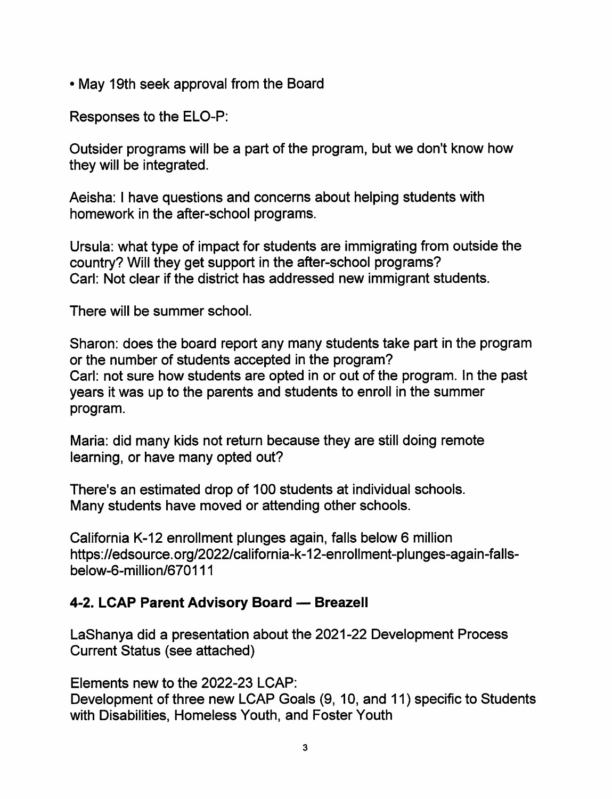• May 19th seek approval from the Board

Responses to the ELO-P:

Outsider programs will be a part of the program, but we don't know how they will be integrated.

Aeisha: I have questions and concerns about helping students with homework in the after-school programs.

Ursula: what type of impact for students are immigrating from outside the country? Will they get support in the after-school programs? Carl: Not clear if the district has addressed new immigrant students.

There will be summer school.

Sharon: does the board report any many students take part in the program or the number of students accepted in the program? Carl: not sure how students are opted in or out of the program. In the past years it was up to the parents and students to enroll in the summer program.

Maria: did many kids not return because they are still doing remote learning, or have many opted out?

There's an estimated drop of 100 students at individual schools. Many students have moved or attending other schools.

California K-12 enrollment plunges again, falls below 6 million https://edsource.org/2022/california-k-12-enrollment-plunges-again-fallsbelow-6-million/670111

## 4-2. LCAP Parent Advisory Board — Breazell

LaShanya did a presentation about the 2021-22 Development Process Current Status (see attached)

Elements new to the 2022-23 LCAP:

Development of three new LCAP Goals (9, 10, and 11) specific to Students with Disabilities, Homeless Youth, and Foster Youth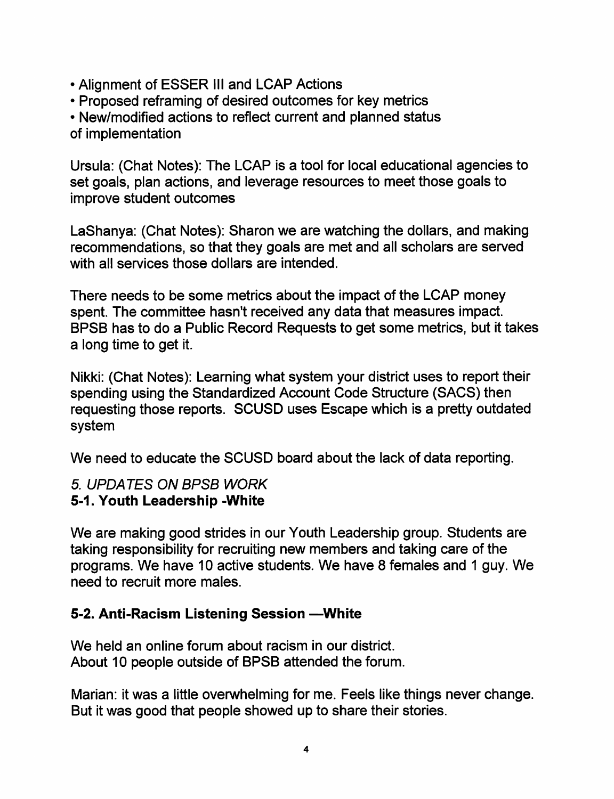- Alignment of ESSER III and LCAP Actions
- Proposed reframing of desired outcomes for key metrics
- New/modified actions to reflect current and planned status

of implementation

Ursula: (Chat Notes): The LCAP is a tool for local educational agencies to set goals, plan actions, and leverage resources to meet those goals to improve student outcomes

LaShanya: (Chat Notes): Sharon we are watching the dollars, and making recommendations, so that they goals are met and all scholars are served with all services those dollars are intended.

There needs to be some metrics about the impact of the LCAP money spent. The committee hasn't received any data that measures impact. BPSB has to do a Public Record Requests to get some metrics, but it takes a long time to get it.

Nikki: (Chat Notes): Learning what system your district uses to report their spending using the Standardized Account Code Structure (SACS) then requesting those reports. SCUSD uses Escape which is a pretty outdated system

We need to educate the SCUSD board about the lack of data reporting.

## 5. UPDATES ON BPSB WORK 5-1. Youth Leadership -White

We are making good strides in our Youth Leadership group. Students are taking responsibility for recruiting new members and taking care of the programs. We have 10 active students. We have 8 females and 1 guy. We need to recruit more males.

## 5-2. Anti-Racism Listening Session - White

We held an online forum about racism in our district. About 10 people outside of BPSB attended the forum.

Marian: it was a little overwhelming for me. Feels like things never change. But it was good that people showed up to share their stories.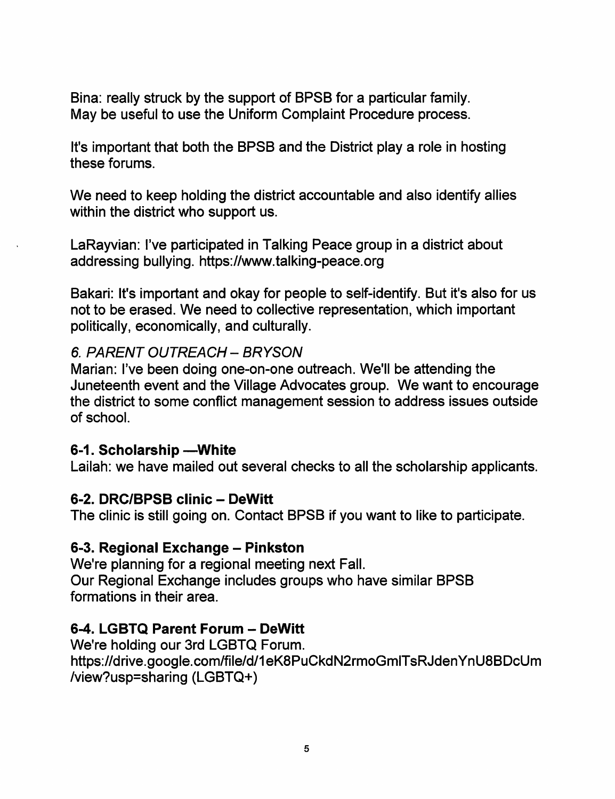Bina: really struck by the support of BPSB for a particular family. May be useful to use the Uniform Complaint Procedure process.

It's important that both the BPSB and the District play a role in hosting these forums.

We need to keep holding the district accountable and also identify allies within the district who support us.

LaRayvian: I've participated in Talking Peace group in a district about addressing bullying. https;//www.talking-peace.org

Bakari: It's important and okay for people to self-identify. But it's also for us not to be erased. We need to collective representation, which important politically, economically, and culturally.

## 6. PARENT OUTREACH - BRYSON

Marian: I've been doing one-on-one outreach. We'll be attending the Juneteenth event and the Village Advocates group. We want to encourage the district to some conflict management session to address issues outside of school.

## 6-1. Scholarship —White

Lailah: we have mailed out several checks to all the scholarship applicants.

## 6-2. DRC/BPSB clinic - DeWitt

The clinic is still going on. Contact BPSB if you want to like to participate.

## 6-3. Regional Exchange – Pinkston

We're planning for a regional meeting next Fall. Our Regional Exchange includes groups who have similar BPSB formations in their area.

## 6-4. LGBTQ Parent Forum - DeWitt

We're holding our 3rd LGBTQ Forum. https://drive.google.com/file/d/1eK8PuCkdN2rmoGmlTsRJdenYnU8BDcUm /view?usp=sharing (LGBTQ+)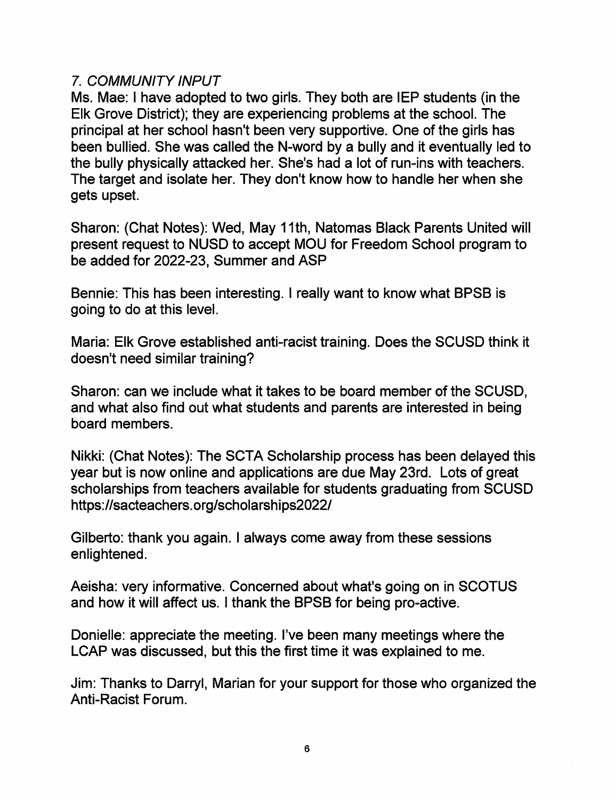## 7. COMMUNITY INPUT

Ms. Mae; I have adopted to two girls. They both are lEP students (in the Elk Grove District); they are experiencing problems at the school. The principal at her school hasn't been very supportive. One of the girls has been bullied. She was called the N-word by a bully and it eventually led to the bully physically attacked her. She's had a lot of run-ins with teachers. The target and isolate her. They don't know how to handle her when she gets upset.

Sharon; (Chat Notes); Wed, May 11th, Natomas Black Parents United will present request to NUSD to accept MOU for Freedom School program to be added for 2022-23, Summer and ASP

Bennie; This has been interesting. I really want to know what BPSB is going to do at this level.

Maria; Elk Grove established anti-racist training. Does the SCUSD think it doesn't need similar training?

Sharon: can we include what it takes to be board member of the SCUSD and what also find out what students and parents are interested in being board members.

Nikki: (Chat Notes): The SCTA Scholarship process has been delayed this year but is now online and applications are due May 23rd. Lots of great scholarships from teachers available for students graduating from SCUSD https://sacteachers.org/scholarships2022/

Gilberto: thank you again. I always come away from these sessions enlightened.

Aeisha: very informative. Concerned about what's going on in SCOTUS and how it will affect us. I thank the BPSB for being pro-active.

Donielle: appreciate the meeting. I've been many meetings where the LCAP was discussed, but this the first time it was explained to me.

Jim; Thanks to Darryl, Marian for your support for those who organized the Anti-Racist Forum.